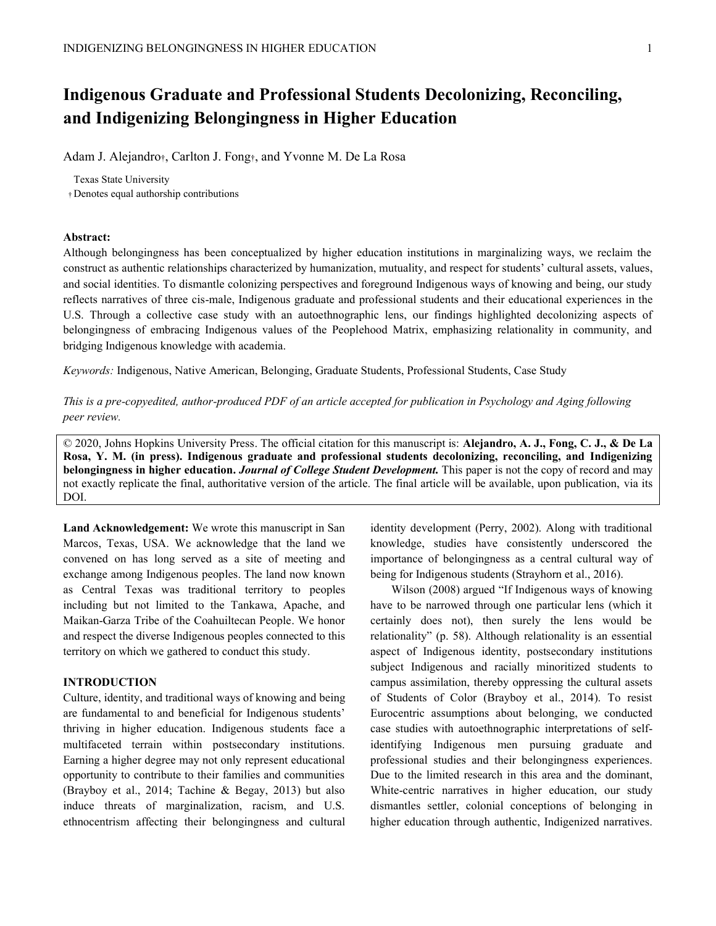# **Indigenous Graduate and Professional Students Decolonizing, Reconciling, and Indigenizing Belongingness in Higher Education**

Adam J. Alejandro<sub>†</sub>, Carlton J. Fong<sub>†</sub>, and Yvonne M. De La Rosa

Texas State University

Denotes equal authorship contributions

## **Abstract:**

Although belongingness has been conceptualized by higher education institutions in marginalizing ways, we reclaim the construct as authentic relationships characterized by humanization, mutuality, and respect for students' cultural assets, values, and social identities. To dismantle colonizing perspectives and foreground Indigenous ways of knowing and being, our study reflects narratives of three cis-male, Indigenous graduate and professional students and their educational experiences in the U.S. Through a collective case study with an autoethnographic lens, our findings highlighted decolonizing aspects of belongingness of embracing Indigenous values of the Peoplehood Matrix, emphasizing relationality in community, and bridging Indigenous knowledge with academia.

*Keywords:* Indigenous, Native American, Belonging, Graduate Students, Professional Students, Case Study

*This is a pre-copyedited, author-produced PDF of an article accepted for publication in Psychology and Aging following peer review.* 

© 2020, Johns Hopkins University Press. The official citation for this manuscript is: **Alejandro, A. J., Fong, C. J., & De La Rosa, Y. M. (in press). Indigenous graduate and professional students decolonizing, reconciling, and Indigenizing belongingness in higher education.** *Journal of College Student Development.* This paper is not the copy of record and may not exactly replicate the final, authoritative version of the article. The final article will be available, upon publication, via its DOI.

**Land Acknowledgement:** We wrote this manuscript in San Marcos, Texas, USA. We acknowledge that the land we convened on has long served as a site of meeting and exchange among Indigenous peoples. The land now known as Central Texas was traditional territory to peoples including but not limited to the Tankawa, Apache, and Maikan-Garza Tribe of the Coahuiltecan People. We honor and respect the diverse Indigenous peoples connected to this territory on which we gathered to conduct this study.

## **INTRODUCTION**

Culture, identity, and traditional ways of knowing and being are fundamental to and beneficial for Indigenous students' thriving in higher education. Indigenous students face a multifaceted terrain within postsecondary institutions. Earning a higher degree may not only represent educational opportunity to contribute to their families and communities (Brayboy et al., 2014; Tachine & Begay, 2013) but also induce threats of marginalization, racism, and U.S. ethnocentrism affecting their belongingness and cultural identity development (Perry, 2002). Along with traditional knowledge, studies have consistently underscored the importance of belongingness as a central cultural way of being for Indigenous students (Strayhorn et al., 2016).

Wilson (2008) argued "If Indigenous ways of knowing have to be narrowed through one particular lens (which it certainly does not), then surely the lens would be relationality" (p. 58). Although relationality is an essential aspect of Indigenous identity, postsecondary institutions subject Indigenous and racially minoritized students to campus assimilation, thereby oppressing the cultural assets of Students of Color (Brayboy et al., 2014). To resist Eurocentric assumptions about belonging, we conducted case studies with autoethnographic interpretations of selfidentifying Indigenous men pursuing graduate and professional studies and their belongingness experiences. Due to the limited research in this area and the dominant, White-centric narratives in higher education, our study dismantles settler, colonial conceptions of belonging in higher education through authentic, Indigenized narratives.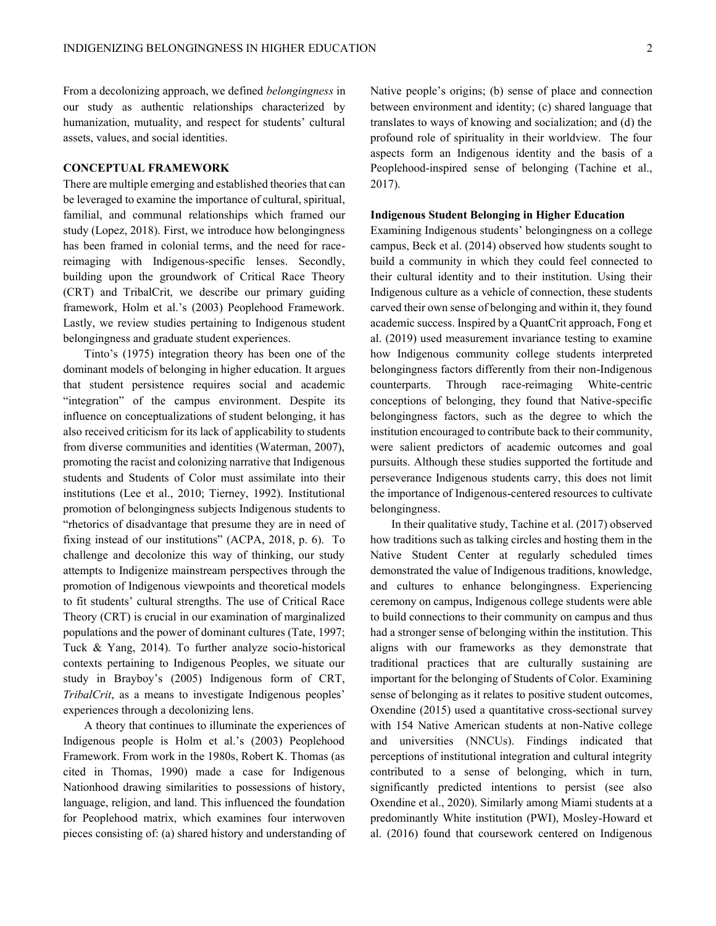From a decolonizing approach, we defined *belongingness* in our study as authentic relationships characterized by humanization, mutuality, and respect for students' cultural assets, values, and social identities.

## **CONCEPTUAL FRAMEWORK**

There are multiple emerging and established theories that can be leveraged to examine the importance of cultural, spiritual, familial, and communal relationships which framed our study (Lopez, 2018). First, we introduce how belongingness has been framed in colonial terms, and the need for racereimaging with Indigenous-specific lenses. Secondly, building upon the groundwork of Critical Race Theory (CRT) and TribalCrit, we describe our primary guiding framework, Holm et al.'s (2003) Peoplehood Framework. Lastly, we review studies pertaining to Indigenous student belongingness and graduate student experiences.

Tinto's (1975) integration theory has been one of the dominant models of belonging in higher education. It argues that student persistence requires social and academic "integration" of the campus environment. Despite its influence on conceptualizations of student belonging, it has also received criticism for its lack of applicability to students from diverse communities and identities (Waterman, 2007), promoting the racist and colonizing narrative that Indigenous students and Students of Color must assimilate into their institutions (Lee et al., 2010; Tierney, 1992). Institutional promotion of belongingness subjects Indigenous students to "rhetorics of disadvantage that presume they are in need of fixing instead of our institutions" (ACPA, 2018, p. 6). To challenge and decolonize this way of thinking, our study attempts to Indigenize mainstream perspectives through the promotion of Indigenous viewpoints and theoretical models to fit students' cultural strengths. The use of Critical Race Theory (CRT) is crucial in our examination of marginalized populations and the power of dominant cultures (Tate, 1997; Tuck & Yang, 2014). To further analyze socio-historical contexts pertaining to Indigenous Peoples, we situate our study in Brayboy's (2005) Indigenous form of CRT, *TribalCrit*, as a means to investigate Indigenous peoples' experiences through a decolonizing lens.

A theory that continues to illuminate the experiences of Indigenous people is Holm et al.'s (2003) Peoplehood Framework. From work in the 1980s, Robert K. Thomas (as cited in Thomas, 1990) made a case for Indigenous Nationhood drawing similarities to possessions of history, language, religion, and land. This influenced the foundation for Peoplehood matrix, which examines four interwoven pieces consisting of: (a) shared history and understanding of Native people's origins; (b) sense of place and connection between environment and identity; (c) shared language that translates to ways of knowing and socialization; and (d) the profound role of spirituality in their worldview. The four aspects form an Indigenous identity and the basis of a Peoplehood-inspired sense of belonging (Tachine et al., 2017).

#### **Indigenous Student Belonging in Higher Education**

Examining Indigenous students' belongingness on a college campus, Beck et al. (2014) observed how students sought to build a community in which they could feel connected to their cultural identity and to their institution. Using their Indigenous culture as a vehicle of connection, these students carved their own sense of belonging and within it, they found academic success. Inspired by a QuantCrit approach, Fong et al. (2019) used measurement invariance testing to examine how Indigenous community college students interpreted belongingness factors differently from their non-Indigenous counterparts. Through race-reimaging White-centric conceptions of belonging, they found that Native-specific belongingness factors, such as the degree to which the institution encouraged to contribute back to their community, were salient predictors of academic outcomes and goal pursuits. Although these studies supported the fortitude and perseverance Indigenous students carry, this does not limit the importance of Indigenous-centered resources to cultivate belongingness.

In their qualitative study, Tachine et al. (2017) observed how traditions such as talking circles and hosting them in the Native Student Center at regularly scheduled times demonstrated the value of Indigenous traditions, knowledge, and cultures to enhance belongingness. Experiencing ceremony on campus, Indigenous college students were able to build connections to their community on campus and thus had a stronger sense of belonging within the institution. This aligns with our frameworks as they demonstrate that traditional practices that are culturally sustaining are important for the belonging of Students of Color. Examining sense of belonging as it relates to positive student outcomes, Oxendine (2015) used a quantitative cross-sectional survey with 154 Native American students at non-Native college and universities (NNCUs). Findings indicated that perceptions of institutional integration and cultural integrity contributed to a sense of belonging, which in turn, significantly predicted intentions to persist (see also Oxendine et al., 2020). Similarly among Miami students at a predominantly White institution (PWI), Mosley-Howard et al. (2016) found that coursework centered on Indigenous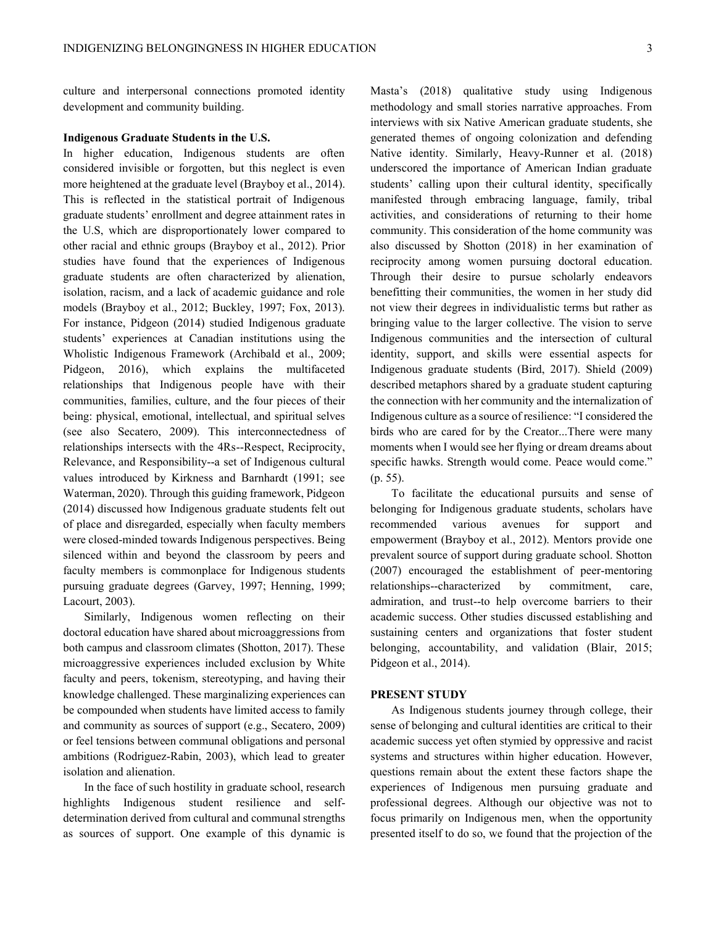culture and interpersonal connections promoted identity development and community building.

## **Indigenous Graduate Students in the U.S.**

In higher education, Indigenous students are often considered invisible or forgotten, but this neglect is even more heightened at the graduate level (Brayboy et al., 2014). This is reflected in the statistical portrait of Indigenous graduate students' enrollment and degree attainment rates in the U.S, which are disproportionately lower compared to other racial and ethnic groups (Brayboy et al., 2012). Prior studies have found that the experiences of Indigenous graduate students are often characterized by alienation, isolation, racism, and a lack of academic guidance and role models (Brayboy et al., 2012; Buckley, 1997; Fox, 2013). For instance, Pidgeon (2014) studied Indigenous graduate students' experiences at Canadian institutions using the Wholistic Indigenous Framework (Archibald et al., 2009; Pidgeon, 2016), which explains the multifaceted relationships that Indigenous people have with their communities, families, culture, and the four pieces of their being: physical, emotional, intellectual, and spiritual selves (see also Secatero, 2009). This interconnectedness of relationships intersects with the 4Rs--Respect, Reciprocity, Relevance, and Responsibility--a set of Indigenous cultural values introduced by Kirkness and Barnhardt (1991; see Waterman, 2020). Through this guiding framework, Pidgeon (2014) discussed how Indigenous graduate students felt out of place and disregarded, especially when faculty members were closed-minded towards Indigenous perspectives. Being silenced within and beyond the classroom by peers and faculty members is commonplace for Indigenous students pursuing graduate degrees (Garvey, 1997; Henning, 1999; Lacourt, 2003).

Similarly, Indigenous women reflecting on their doctoral education have shared about microaggressions from both campus and classroom climates (Shotton, 2017). These microaggressive experiences included exclusion by White faculty and peers, tokenism, stereotyping, and having their knowledge challenged. These marginalizing experiences can be compounded when students have limited access to family and community as sources of support (e.g., Secatero, 2009) or feel tensions between communal obligations and personal ambitions (Rodriguez-Rabin, 2003), which lead to greater isolation and alienation.

In the face of such hostility in graduate school, research highlights Indigenous student resilience and selfdetermination derived from cultural and communal strengths as sources of support. One example of this dynamic is Masta's (2018) qualitative study using Indigenous methodology and small stories narrative approaches. From interviews with six Native American graduate students, she generated themes of ongoing colonization and defending Native identity. Similarly, Heavy-Runner et al. (2018) underscored the importance of American Indian graduate students' calling upon their cultural identity, specifically manifested through embracing language, family, tribal activities, and considerations of returning to their home community. This consideration of the home community was also discussed by Shotton (2018) in her examination of reciprocity among women pursuing doctoral education. Through their desire to pursue scholarly endeavors benefitting their communities, the women in her study did not view their degrees in individualistic terms but rather as bringing value to the larger collective. The vision to serve Indigenous communities and the intersection of cultural identity, support, and skills were essential aspects for Indigenous graduate students (Bird, 2017). Shield (2009) described metaphors shared by a graduate student capturing the connection with her community and the internalization of Indigenous culture as a source of resilience: "I considered the birds who are cared for by the Creator...There were many moments when I would see her flying or dream dreams about specific hawks. Strength would come. Peace would come." (p. 55).

To facilitate the educational pursuits and sense of belonging for Indigenous graduate students, scholars have recommended various avenues for support and empowerment (Brayboy et al., 2012). Mentors provide one prevalent source of support during graduate school. Shotton (2007) encouraged the establishment of peer-mentoring relationships--characterized by commitment, care, admiration, and trust--to help overcome barriers to their academic success. Other studies discussed establishing and sustaining centers and organizations that foster student belonging, accountability, and validation (Blair, 2015; Pidgeon et al., 2014).

#### **PRESENT STUDY**

As Indigenous students journey through college, their sense of belonging and cultural identities are critical to their academic success yet often stymied by oppressive and racist systems and structures within higher education. However, questions remain about the extent these factors shape the experiences of Indigenous men pursuing graduate and professional degrees. Although our objective was not to focus primarily on Indigenous men, when the opportunity presented itself to do so, we found that the projection of the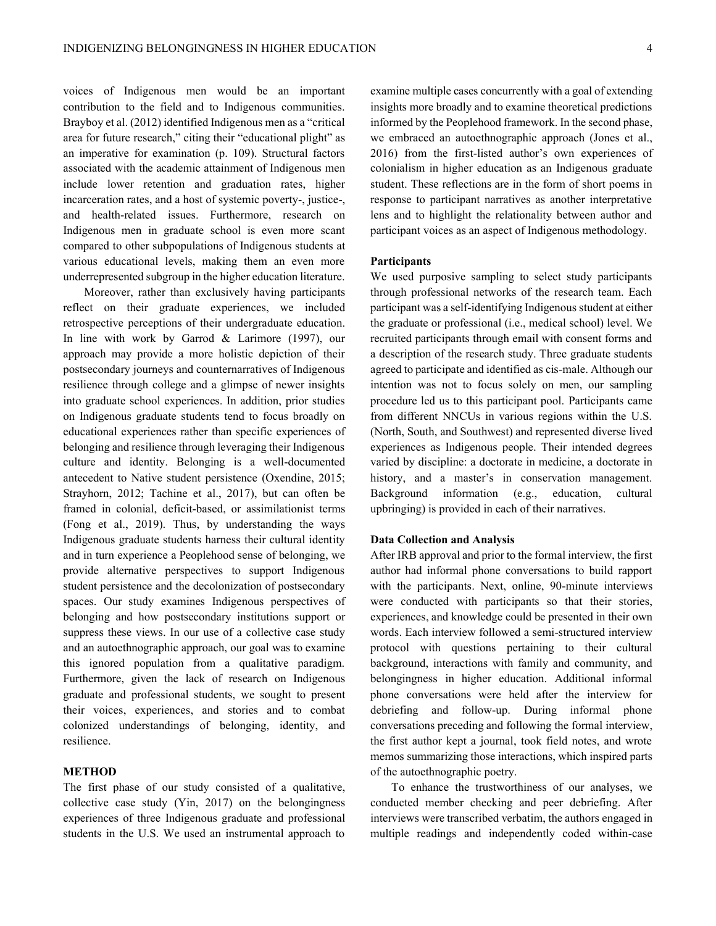voices of Indigenous men would be an important contribution to the field and to Indigenous communities. Brayboy et al. (2012) identified Indigenous men as a "critical area for future research," citing their "educational plight" as an imperative for examination (p. 109). Structural factors associated with the academic attainment of Indigenous men include lower retention and graduation rates, higher incarceration rates, and a host of systemic poverty-, justice-, and health-related issues. Furthermore, research on Indigenous men in graduate school is even more scant compared to other subpopulations of Indigenous students at various educational levels, making them an even more underrepresented subgroup in the higher education literature.

Moreover, rather than exclusively having participants reflect on their graduate experiences, we included retrospective perceptions of their undergraduate education. In line with work by Garrod & Larimore (1997), our approach may provide a more holistic depiction of their postsecondary journeys and counternarratives of Indigenous resilience through college and a glimpse of newer insights into graduate school experiences. In addition, prior studies on Indigenous graduate students tend to focus broadly on educational experiences rather than specific experiences of belonging and resilience through leveraging their Indigenous culture and identity. Belonging is a well-documented antecedent to Native student persistence (Oxendine, 2015; Strayhorn, 2012; Tachine et al., 2017), but can often be framed in colonial, deficit-based, or assimilationist terms (Fong et al., 2019). Thus, by understanding the ways Indigenous graduate students harness their cultural identity and in turn experience a Peoplehood sense of belonging, we provide alternative perspectives to support Indigenous student persistence and the decolonization of postsecondary spaces. Our study examines Indigenous perspectives of belonging and how postsecondary institutions support or suppress these views. In our use of a collective case study and an autoethnographic approach, our goal was to examine this ignored population from a qualitative paradigm. Furthermore, given the lack of research on Indigenous graduate and professional students, we sought to present their voices, experiences, and stories and to combat colonized understandings of belonging, identity, and resilience.

## **METHOD**

The first phase of our study consisted of a qualitative, collective case study (Yin, 2017) on the belongingness experiences of three Indigenous graduate and professional students in the U.S. We used an instrumental approach to examine multiple cases concurrently with a goal of extending insights more broadly and to examine theoretical predictions informed by the Peoplehood framework. In the second phase, we embraced an autoethnographic approach (Jones et al.,  $2016$ ) from the first-listed author's own experiences of colonialism in higher education as an Indigenous graduate student. These reflections are in the form of short poems in response to participant narratives as another interpretative lens and to highlight the relationality between author and participant voices as an aspect of Indigenous methodology.

#### **Participants**

We used purposive sampling to select study participants through professional networks of the research team. Each participant was a self-identifying Indigenous student at either the graduate or professional (i.e., medical school) level. We recruited participants through email with consent forms and a description of the research study. Three graduate students agreed to participate and identified as cis-male. Although our intention was not to focus solely on men, our sampling procedure led us to this participant pool. Participants came from different NNCUs in various regions within the U.S. (North, South, and Southwest) and represented diverse lived experiences as Indigenous people. Their intended degrees varied by discipline: a doctorate in medicine, a doctorate in history, and a master's in conservation management. Background information (e.g., education, cultural upbringing) is provided in each of their narratives.

#### **Data Collection and Analysis**

After IRB approval and prior to the formal interview, the first author had informal phone conversations to build rapport with the participants. Next, online, 90-minute interviews were conducted with participants so that their stories, experiences, and knowledge could be presented in their own words. Each interview followed a semi-structured interview protocol with questions pertaining to their cultural background, interactions with family and community, and belongingness in higher education. Additional informal phone conversations were held after the interview for debriefing and follow-up. During informal phone conversations preceding and following the formal interview, the first author kept a journal, took field notes, and wrote memos summarizing those interactions, which inspired parts of the autoethnographic poetry.

To enhance the trustworthiness of our analyses, we conducted member checking and peer debriefing. After interviews were transcribed verbatim, the authors engaged in multiple readings and independently coded within-case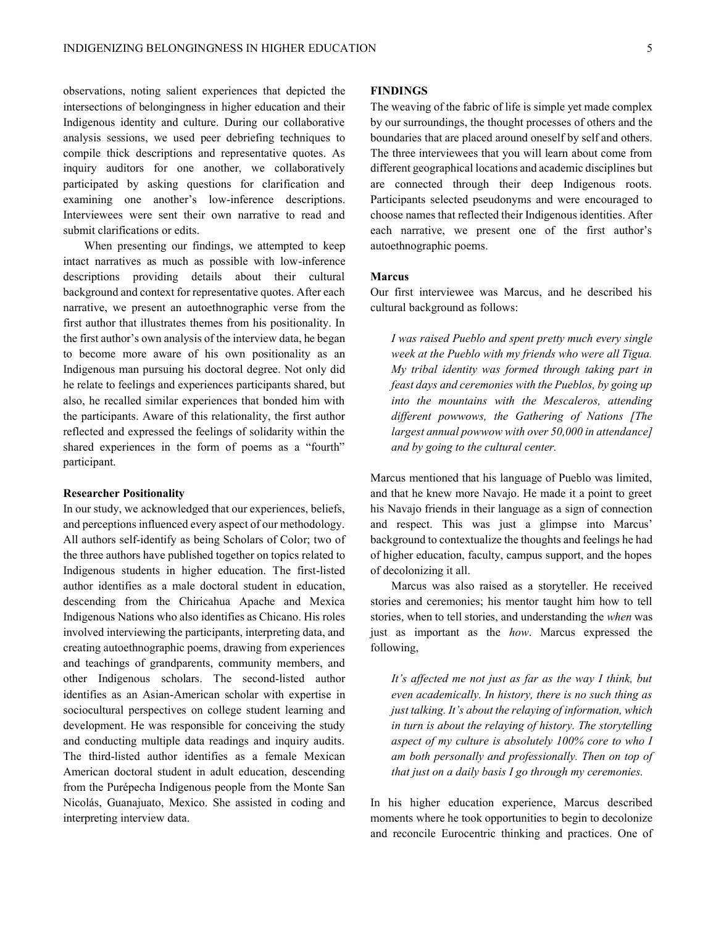observations, noting salient experiences that depicted the intersections of belongingness in higher education and their Indigenous identity and culture. During our collaborative analysis sessions, we used peer debriefing techniques to compile thick descriptions and representative quotes. As inquiry auditors for one another, we collaboratively participated by asking questions for clarification and examining one another's low-inference descriptions. Interviewees were sent their own narrative to read and submit clarifications or edits.

When presenting our findings, we attempted to keep intact narratives as much as possible with low-inference descriptions providing details about their cultural background and context for representative quotes. After each narrative, we present an autoethnographic verse from the first author that illustrates themes from his positionality. In the first author's own analysis of the interview data, he began to become more aware of his own positionality as an Indigenous man pursuing his doctoral degree. Not only did he relate to feelings and experiences participants shared, but also, he recalled similar experiences that bonded him with the participants. Aware of this relationality, the first author reflected and expressed the feelings of solidarity within the shared experiences in the form of poems as a "fourth" participant.

#### **Researcher Positionality**

In our study, we acknowledged that our experiences, beliefs, and perceptions influenced every aspect of our methodology. All authors self-identify as being Scholars of Color; two of the three authors have published together on topics related to Indigenous students in higher education. The first-listed author identifies as a male doctoral student in education, descending from the Chiricahua Apache and Mexica Indigenous Nations who also identifies as Chicano. His roles involved interviewing the participants, interpreting data, and creating autoethnographic poems, drawing from experiences and teachings of grandparents, community members, and other Indigenous scholars. The second-listed author identifies as an Asian-American scholar with expertise in sociocultural perspectives on college student learning and development. He was responsible for conceiving the study and conducting multiple data readings and inquiry audits. The third-listed author identifies as a female Mexican American doctoral student in adult education, descending from the Purépecha Indigenous people from the Monte San Nicolás, Guanajuato, Mexico. She assisted in coding and interpreting interview data.

## **FINDINGS**

The weaving of the fabric of life is simple yet made complex by our surroundings, the thought processes of others and the boundaries that are placed around oneself by self and others. The three interviewees that you will learn about come from different geographical locations and academic disciplines but are connected through their deep Indigenous roots. Participants selected pseudonyms and were encouraged to choose names that reflected their Indigenous identities. After each narrative, we present one of the first author's autoethnographic poems.

## **Marcus**

Our first interviewee was Marcus, and he described his cultural background as follows:

*I was raised Pueblo and spent pretty much every single week at the Pueblo with my friends who were all Tigua. My tribal identity was formed through taking part in feast days and ceremonies with the Pueblos, by going up into the mountains with the Mescaleros, attending different powwows, the Gathering of Nations [The largest annual powwow with over 50,000 in attendance] and by going to the cultural center.* 

Marcus mentioned that his language of Pueblo was limited, and that he knew more Navajo. He made it a point to greet his Navajo friends in their language as a sign of connection and respect. This was just a glimpse into Marcus' background to contextualize the thoughts and feelings he had of higher education, faculty, campus support, and the hopes of decolonizing it all.

Marcus was also raised as a storyteller. He received stories and ceremonies; his mentor taught him how to tell stories, when to tell stories, and understanding the *when* was just as important as the *how*. Marcus expressed the following,

*It's affected me not just as far as the way I think, but even academically. In history, there is no such thing as just talking. It's about the relaying of information, which in turn is about the relaying of history. The storytelling aspect of my culture is absolutely 100% core to who I am both personally and professionally. Then on top of that just on a daily basis I go through my ceremonies.*

In his higher education experience, Marcus described moments where he took opportunities to begin to decolonize and reconcile Eurocentric thinking and practices. One of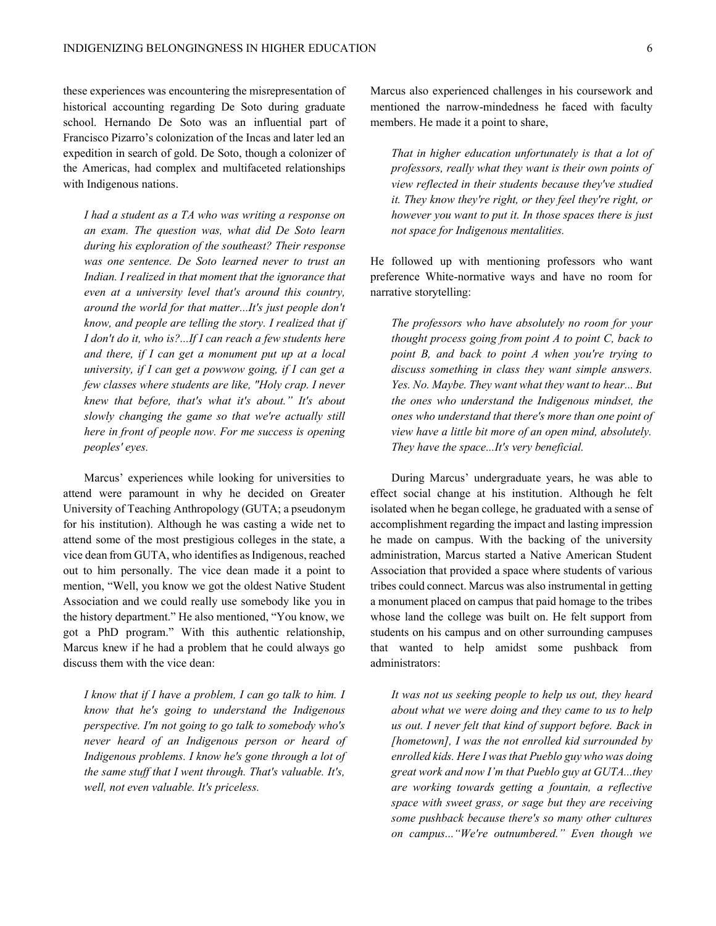these experiences was encountering the misrepresentation of historical accounting regarding De Soto during graduate school. Hernando De Soto was an influential part of Francisco Pizarro's colonization of the Incas and later led an expedition in search of gold. De Soto, though a colonizer of the Americas, had complex and multifaceted relationships with Indigenous nations.

*I had a student as a TA who was writing a response on an exam. The question was, what did De Soto learn during his exploration of the southeast? Their response was one sentence. De Soto learned never to trust an Indian. I realized in that moment that the ignorance that even at a university level that's around this country, around the world for that matter...It's just people don't know, and people are telling the story. I realized that if I don't do it, who is?...If I can reach a few students here and there, if I can get a monument put up at a local university, if I can get a powwow going, if I can get a few classes where students are like, "Holy crap. I never knew that before, that's what it's about.*" It's about *slowly changing the game so that we're actually still here in front of people now. For me success is opening peoples' eyes.*

Marcus' experiences while looking for universities to attend were paramount in why he decided on Greater University of Teaching Anthropology (GUTA; a pseudonym for his institution). Although he was casting a wide net to attend some of the most prestigious colleges in the state, a vice dean from GUTA, who identifies as Indigenous, reached out to him personally. The vice dean made it a point to mention, "Well, you know we got the oldest Native Student Association and we could really use somebody like you in the history department." He also mentioned, "You know, we got a PhD program.´ With this authentic relationship, Marcus knew if he had a problem that he could always go discuss them with the vice dean:

*I know that if I have a problem, I can go talk to him. I know that he's going to understand the Indigenous perspective. I'm not going to go talk to somebody who's never heard of an Indigenous person or heard of Indigenous problems. I know he's gone through a lot of the same stuff that I went through. That's valuable. It's, well, not even valuable. It's priceless.*

Marcus also experienced challenges in his coursework and mentioned the narrow-mindedness he faced with faculty members. He made it a point to share,

*That in higher education unfortunately is that a lot of professors, really what they want is their own points of view reflected in their students because they've studied it. They know they're right, or they feel they're right, or however you want to put it. In those spaces there is just not space for Indigenous mentalities.* 

He followed up with mentioning professors who want preference White-normative ways and have no room for narrative storytelling:

*The professors who have absolutely no room for your thought process going from point A to point C, back to point B, and back to point A when you're trying to discuss something in class they want simple answers. Yes. No. Maybe. They want what they want to hear... But the ones who understand the Indigenous mindset, the ones who understand that there's more than one point of view have a little bit more of an open mind, absolutely. They have the space...It's very beneficial.*

During Marcus' undergraduate years, he was able to effect social change at his institution. Although he felt isolated when he began college, he graduated with a sense of accomplishment regarding the impact and lasting impression he made on campus. With the backing of the university administration, Marcus started a Native American Student Association that provided a space where students of various tribes could connect. Marcus was also instrumental in getting a monument placed on campus that paid homage to the tribes whose land the college was built on. He felt support from students on his campus and on other surrounding campuses that wanted to help amidst some pushback from administrators:

*It was not us seeking people to help us out, they heard about what we were doing and they came to us to help us out. I never felt that kind of support before. Back in [hometown], I was the not enrolled kid surrounded by enrolled kids. Here I was that Pueblo guy who was doing*  great work and now I'm that Pueblo guy at GUTA...they *are working towards getting a fountain, a reflective space with sweet grass, or sage but they are receiving some pushback because there's so many other cultures on campus...* "We're outnumbered." Even though we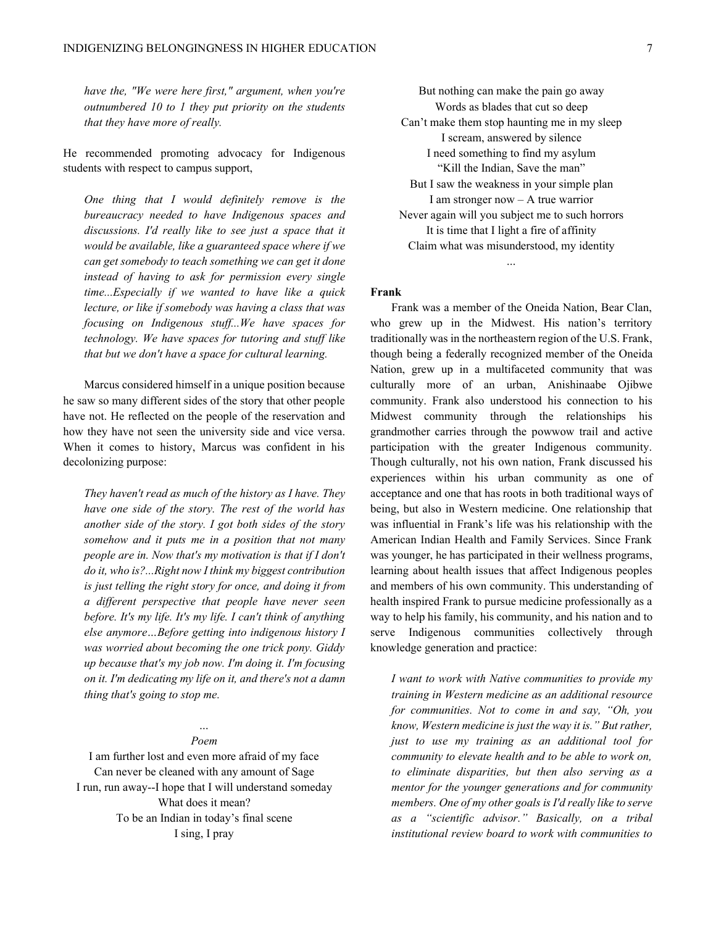*have the, "We were here first," argument, when you're outnumbered 10 to 1 they put priority on the students that they have more of really.* 

He recommended promoting advocacy for Indigenous students with respect to campus support,

*One thing that I would definitely remove is the bureaucracy needed to have Indigenous spaces and discussions. I'd really like to see just a space that it would be available, like a guaranteed space where if we can get somebody to teach something we can get it done instead of having to ask for permission every single time...Especially if we wanted to have like a quick lecture, or like if somebody was having a class that was focusing on Indigenous stuff...We have spaces for technology. We have spaces for tutoring and stuff like that but we don't have a space for cultural learning.* 

Marcus considered himself in a unique position because he saw so many different sides of the story that other people have not. He reflected on the people of the reservation and how they have not seen the university side and vice versa. When it comes to history, Marcus was confident in his decolonizing purpose:

*They haven't read as much of the history as I have. They have one side of the story. The rest of the world has another side of the story. I got both sides of the story somehow and it puts me in a position that not many people are in. Now that's my motivation is that if I don't do it, who is?...Right now I think my biggest contribution is just telling the right story for once, and doing it from a different perspective that people have never seen before. It's my life. It's my life. I can't think of anything else anymore* ... Before getting into indigenous history I *was worried about becoming the one trick pony. Giddy up because that's my job now. I'm doing it. I'm focusing on it. I'm dedicating my life on it, and there's not a damn thing that's going to stop me.*

## *« Poem*

I am further lost and even more afraid of my face Can never be cleaned with any amount of Sage I run, run away--I hope that I will understand someday What does it mean? To be an Indian in today's final scene I sing, I pray

But nothing can make the pain go away Words as blades that cut so deep Can't make them stop haunting me in my sleep I scream, answered by silence I need something to find my asylum "Kill the Indian, Save the man" But I saw the weakness in your simple plan I am stronger now  $- A$  true warrior Never again will you subject me to such horrors It is time that I light a fire of affinity Claim what was misunderstood, my identity

*«*

#### **Frank**

Frank was a member of the Oneida Nation, Bear Clan, who grew up in the Midwest. His nation's territory traditionally was in the northeastern region of the U.S. Frank, though being a federally recognized member of the Oneida Nation, grew up in a multifaceted community that was culturally more of an urban, Anishinaabe Ojibwe community. Frank also understood his connection to his Midwest community through the relationships his grandmother carries through the powwow trail and active participation with the greater Indigenous community. Though culturally, not his own nation, Frank discussed his experiences within his urban community as one of acceptance and one that has roots in both traditional ways of being, but also in Western medicine. One relationship that was influential in Frank's life was his relationship with the American Indian Health and Family Services. Since Frank was younger, he has participated in their wellness programs, learning about health issues that affect Indigenous peoples and members of his own community. This understanding of health inspired Frank to pursue medicine professionally as a way to help his family, his community, and his nation and to serve Indigenous communities collectively through knowledge generation and practice:

*I want to work with Native communities to provide my training in Western medicine as an additional resource for communities. Not to come in and say, "Oh, you know, Western medicine is just the way it is.* "*But rather, just to use my training as an additional tool for community to elevate health and to be able to work on, to eliminate disparities, but then also serving as a mentor for the younger generations and for community members. One of my other goals is I'd really like to serve*  as a "scientific advisor." Basically, on a tribal *institutional review board to work with communities to*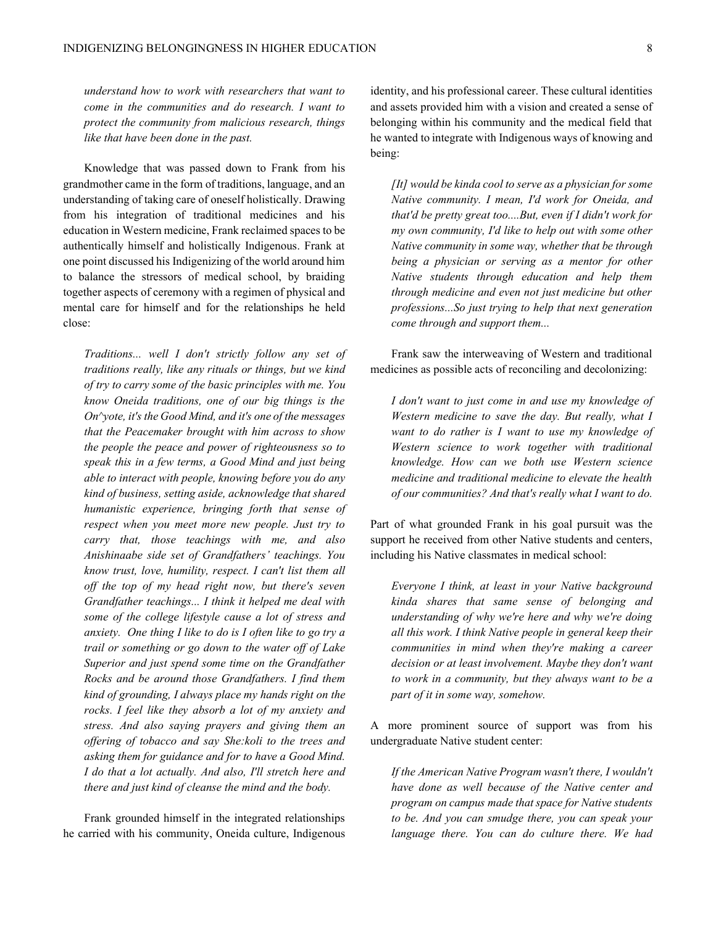*understand how to work with researchers that want to come in the communities and do research. I want to protect the community from malicious research, things like that have been done in the past.* 

Knowledge that was passed down to Frank from his grandmother came in the form of traditions, language, and an understanding of taking care of oneself holistically. Drawing from his integration of traditional medicines and his education in Western medicine, Frank reclaimed spaces to be authentically himself and holistically Indigenous. Frank at one point discussed his Indigenizing of the world around him to balance the stressors of medical school, by braiding together aspects of ceremony with a regimen of physical and mental care for himself and for the relationships he held close:

*Traditions... well I don't strictly follow any set of traditions really, like any rituals or things, but we kind of try to carry some of the basic principles with me. You know Oneida traditions, one of our big things is the On^yote, it's the Good Mind, and it's one of the messages that the Peacemaker brought with him across to show the people the peace and power of righteousness so to speak this in a few terms, a Good Mind and just being able to interact with people, knowing before you do any kind of business, setting aside, acknowledge that shared humanistic experience, bringing forth that sense of respect when you meet more new people. Just try to carry that, those teachings with me, and also Anishinaabe side set of Grandfathers' teachings. You know trust, love, humility, respect. I can't list them all off the top of my head right now, but there's seven Grandfather teachings... I think it helped me deal with some of the college lifestyle cause a lot of stress and anxiety. One thing I like to do is I often like to go try a trail or something or go down to the water off of Lake Superior and just spend some time on the Grandfather Rocks and be around those Grandfathers. I find them kind of grounding, I always place my hands right on the rocks. I feel like they absorb a lot of my anxiety and stress. And also saying prayers and giving them an offering of tobacco and say She:koli to the trees and asking them for guidance and for to have a Good Mind. I do that a lot actually. And also, I'll stretch here and there and just kind of cleanse the mind and the body.* 

Frank grounded himself in the integrated relationships he carried with his community, Oneida culture, Indigenous identity, and his professional career. These cultural identities and assets provided him with a vision and created a sense of belonging within his community and the medical field that he wanted to integrate with Indigenous ways of knowing and being:

*[It] would be kinda cool to serve as a physician for some Native community. I mean, I'd work for Oneida, and that'd be pretty great too....But, even if I didn't work for my own community, I'd like to help out with some other Native community in some way, whether that be through being a physician or serving as a mentor for other Native students through education and help them through medicine and even not just medicine but other professions...So just trying to help that next generation come through and support them...*

Frank saw the interweaving of Western and traditional medicines as possible acts of reconciling and decolonizing:

*I don't want to just come in and use my knowledge of Western medicine to save the day. But really, what I want to do rather is I want to use my knowledge of Western science to work together with traditional knowledge. How can we both use Western science medicine and traditional medicine to elevate the health of our communities? And that's really what I want to do.*

Part of what grounded Frank in his goal pursuit was the support he received from other Native students and centers, including his Native classmates in medical school:

*Everyone I think, at least in your Native background kinda shares that same sense of belonging and understanding of why we're here and why we're doing all this work. I think Native people in general keep their communities in mind when they're making a career decision or at least involvement. Maybe they don't want to work in a community, but they always want to be a part of it in some way, somehow.* 

A more prominent source of support was from his undergraduate Native student center:

*If the American Native Program wasn't there, I wouldn't have done as well because of the Native center and program on campus made that space for Native students to be. And you can smudge there, you can speak your language there. You can do culture there. We had*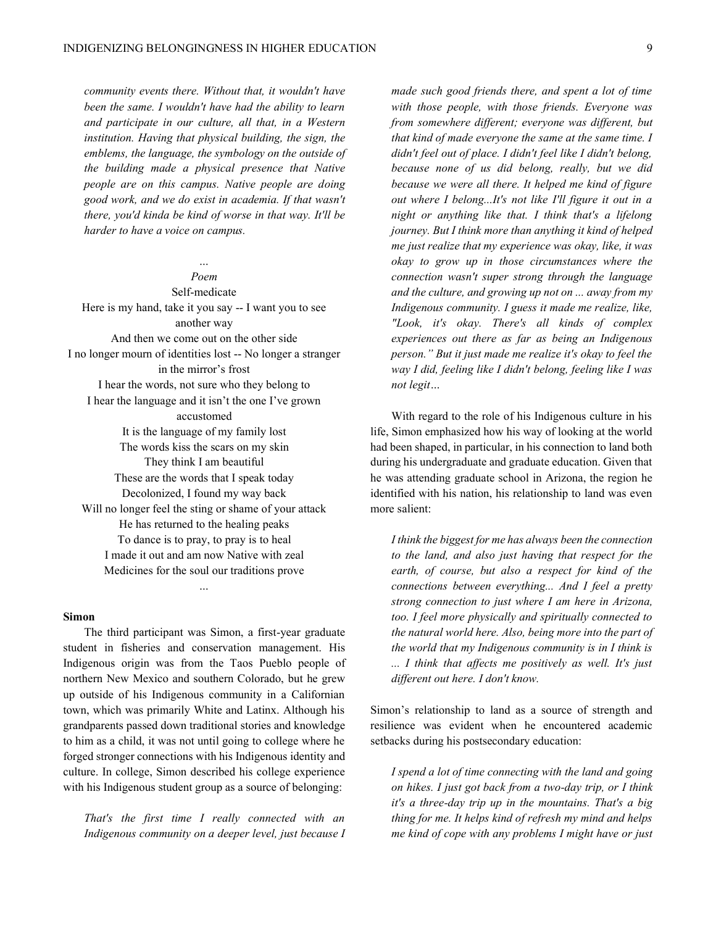*community events there. Without that, it wouldn't have been the same. I wouldn't have had the ability to learn and participate in our culture, all that, in a Western institution. Having that physical building, the sign, the emblems, the language, the symbology on the outside of the building made a physical presence that Native people are on this campus. Native people are doing good work, and we do exist in academia. If that wasn't there, you'd kinda be kind of worse in that way. It'll be harder to have a voice on campus.*

## *« Poem*

Self-medicate Here is my hand, take it you say -- I want you to see another way And then we come out on the other side I no longer mourn of identities lost -- No longer a stranger in the mirror's frost I hear the words, not sure who they belong to I hear the language and it isn't the one I've grown accustomed It is the language of my family lost The words kiss the scars on my skin They think I am beautiful These are the words that I speak today Decolonized, I found my way back Will no longer feel the sting or shame of your attack He has returned to the healing peaks To dance is to pray, to pray is to heal I made it out and am now Native with zeal Medicines for the soul our traditions prove

#### **Simon**

The third participant was Simon, a first-year graduate student in fisheries and conservation management. His Indigenous origin was from the Taos Pueblo people of northern New Mexico and southern Colorado, but he grew up outside of his Indigenous community in a Californian town, which was primarily White and Latinx. Although his grandparents passed down traditional stories and knowledge to him as a child, it was not until going to college where he forged stronger connections with his Indigenous identity and culture. In college, Simon described his college experience with his Indigenous student group as a source of belonging:

*«*

*That's the first time I really connected with an Indigenous community on a deeper level, just because I* 

*made such good friends there, and spent a lot of time with those people, with those friends. Everyone was from somewhere different; everyone was different, but that kind of made everyone the same at the same time. I didn't feel out of place. I didn't feel like I didn't belong, because none of us did belong, really, but we did because we were all there. It helped me kind of figure out where I belong...It's not like I'll figure it out in a night or anything like that. I think that's a lifelong journey. But I think more than anything it kind of helped me just realize that my experience was okay, like, it was okay to grow up in those circumstances where the connection wasn't super strong through the language and the culture, and growing up not on ... away from my Indigenous community. I guess it made me realize, like, "Look, it's okay. There's all kinds of complex experiences out there as far as being an Indigenous person.*" But it just made me realize it's okay to feel the *way I did, feeling like I didn't belong, feeling like I was*   $not$  *legit* ...

With regard to the role of his Indigenous culture in his life, Simon emphasized how his way of looking at the world had been shaped, in particular, in his connection to land both during his undergraduate and graduate education. Given that he was attending graduate school in Arizona, the region he identified with his nation, his relationship to land was even more salient:

*I think the biggest for me has always been the connection to the land, and also just having that respect for the earth, of course, but also a respect for kind of the connections between everything... And I feel a pretty strong connection to just where I am here in Arizona, too. I feel more physically and spiritually connected to the natural world here. Also, being more into the part of the world that my Indigenous community is in I think is ... I think that affects me positively as well. It's just different out here. I don't know.*

Simon's relationship to land as a source of strength and resilience was evident when he encountered academic setbacks during his postsecondary education:

*I spend a lot of time connecting with the land and going on hikes. I just got back from a two-day trip, or I think it's a three-day trip up in the mountains. That's a big thing for me. It helps kind of refresh my mind and helps me kind of cope with any problems I might have or just*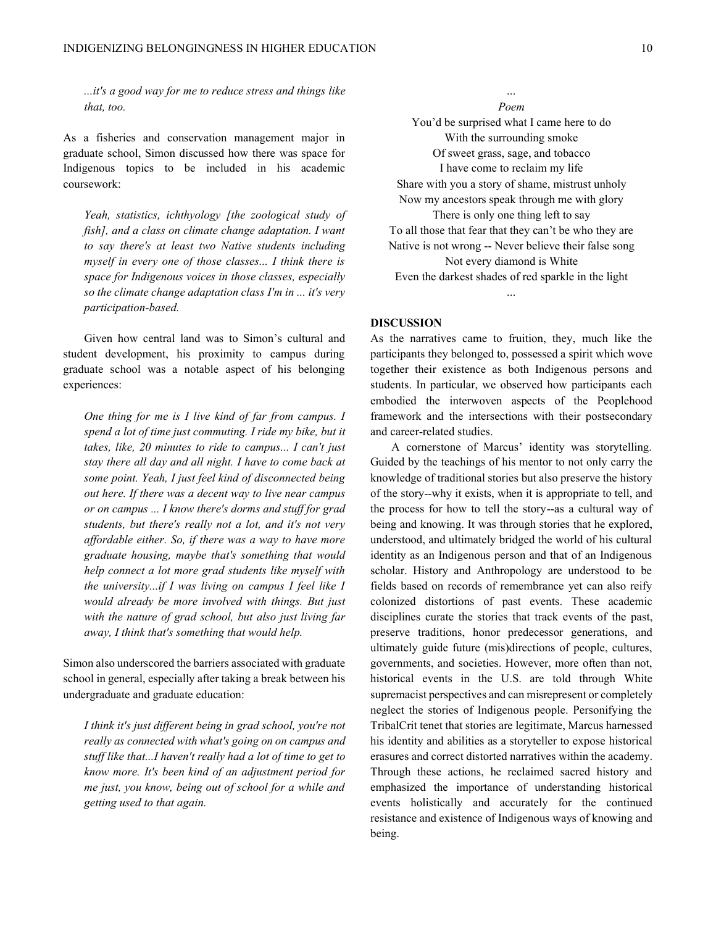*...it's a good way for me to reduce stress and things like that, too.* 

As a fisheries and conservation management major in graduate school, Simon discussed how there was space for Indigenous topics to be included in his academic coursework:

*Yeah, statistics, ichthyology [the zoological study of fish], and a class on climate change adaptation. I want to say there's at least two Native students including myself in every one of those classes... I think there is space for Indigenous voices in those classes, especially so the climate change adaptation class I'm in ... it's very participation-based.* 

Given how central land was to Simon's cultural and student development, his proximity to campus during graduate school was a notable aspect of his belonging experiences:

*One thing for me is I live kind of far from campus. I spend a lot of time just commuting. I ride my bike, but it takes, like, 20 minutes to ride to campus... I can't just stay there all day and all night. I have to come back at some point. Yeah, I just feel kind of disconnected being out here. If there was a decent way to live near campus or on campus ... I know there's dorms and stuff for grad students, but there's really not a lot, and it's not very affordable either. So, if there was a way to have more graduate housing, maybe that's something that would help connect a lot more grad students like myself with the university...if I was living on campus I feel like I would already be more involved with things. But just with the nature of grad school, but also just living far away, I think that's something that would help.*

Simon also underscored the barriers associated with graduate school in general, especially after taking a break between his undergraduate and graduate education:

*I think it's just different being in grad school, you're not really as connected with what's going on on campus and stuff like that...I haven't really had a lot of time to get to know more. It's been kind of an adjustment period for me just, you know, being out of school for a while and getting used to that again.*

*« Poem* You'd be surprised what I came here to do With the surrounding smoke Of sweet grass, sage, and tobacco I have come to reclaim my life Share with you a story of shame, mistrust unholy Now my ancestors speak through me with glory There is only one thing left to say To all those that fear that they can't be who they are Native is not wrong -- Never believe their false song Not every diamond is White Even the darkest shades of red sparkle in the light

#### **DISCUSSION**

As the narratives came to fruition, they, much like the participants they belonged to, possessed a spirit which wove together their existence as both Indigenous persons and students. In particular, we observed how participants each embodied the interwoven aspects of the Peoplehood framework and the intersections with their postsecondary and career-related studies.

*«*

A cornerstone of Marcus' identity was storytelling. Guided by the teachings of his mentor to not only carry the knowledge of traditional stories but also preserve the history of the story--why it exists, when it is appropriate to tell, and the process for how to tell the story--as a cultural way of being and knowing. It was through stories that he explored, understood, and ultimately bridged the world of his cultural identity as an Indigenous person and that of an Indigenous scholar. History and Anthropology are understood to be fields based on records of remembrance yet can also reify colonized distortions of past events. These academic disciplines curate the stories that track events of the past, preserve traditions, honor predecessor generations, and ultimately guide future (mis)directions of people, cultures, governments, and societies. However, more often than not, historical events in the U.S. are told through White supremacist perspectives and can misrepresent or completely neglect the stories of Indigenous people. Personifying the TribalCrit tenet that stories are legitimate, Marcus harnessed his identity and abilities as a storyteller to expose historical erasures and correct distorted narratives within the academy. Through these actions, he reclaimed sacred history and emphasized the importance of understanding historical events holistically and accurately for the continued resistance and existence of Indigenous ways of knowing and being.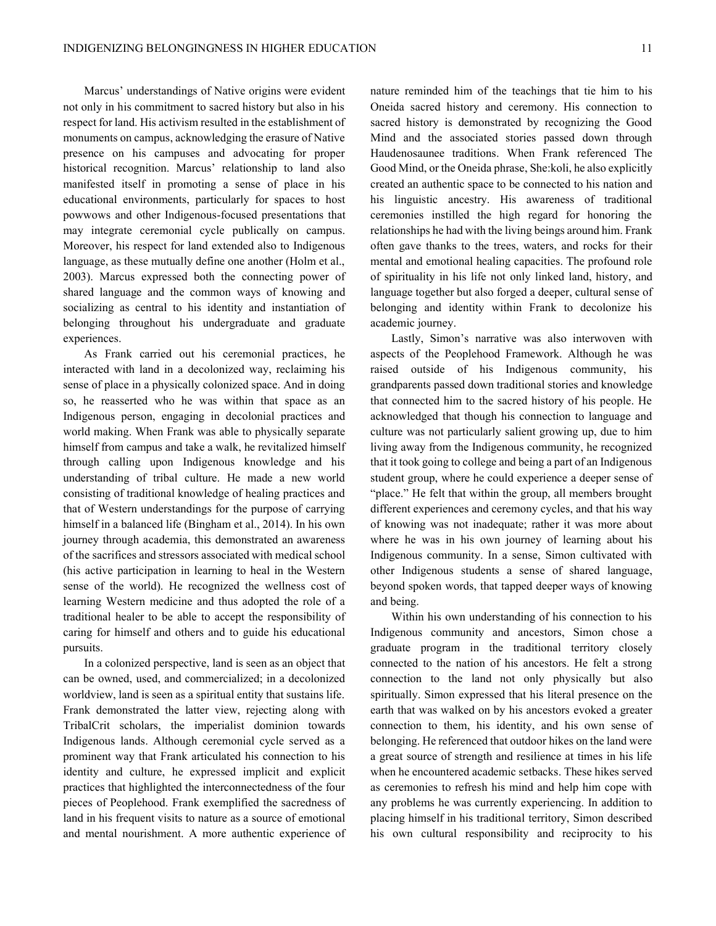Marcus' understandings of Native origins were evident not only in his commitment to sacred history but also in his respect for land. His activism resulted in the establishment of monuments on campus, acknowledging the erasure of Native presence on his campuses and advocating for proper historical recognition. Marcus' relationship to land also manifested itself in promoting a sense of place in his educational environments, particularly for spaces to host powwows and other Indigenous-focused presentations that may integrate ceremonial cycle publically on campus. Moreover, his respect for land extended also to Indigenous language, as these mutually define one another (Holm et al., 2003). Marcus expressed both the connecting power of shared language and the common ways of knowing and socializing as central to his identity and instantiation of belonging throughout his undergraduate and graduate experiences.

As Frank carried out his ceremonial practices, he interacted with land in a decolonized way, reclaiming his sense of place in a physically colonized space. And in doing so, he reasserted who he was within that space as an Indigenous person, engaging in decolonial practices and world making. When Frank was able to physically separate himself from campus and take a walk, he revitalized himself through calling upon Indigenous knowledge and his understanding of tribal culture. He made a new world consisting of traditional knowledge of healing practices and that of Western understandings for the purpose of carrying himself in a balanced life (Bingham et al., 2014). In his own journey through academia, this demonstrated an awareness of the sacrifices and stressors associated with medical school (his active participation in learning to heal in the Western sense of the world). He recognized the wellness cost of learning Western medicine and thus adopted the role of a traditional healer to be able to accept the responsibility of caring for himself and others and to guide his educational pursuits.

In a colonized perspective, land is seen as an object that can be owned, used, and commercialized; in a decolonized worldview, land is seen as a spiritual entity that sustains life. Frank demonstrated the latter view, rejecting along with TribalCrit scholars, the imperialist dominion towards Indigenous lands. Although ceremonial cycle served as a prominent way that Frank articulated his connection to his identity and culture, he expressed implicit and explicit practices that highlighted the interconnectedness of the four pieces of Peoplehood. Frank exemplified the sacredness of land in his frequent visits to nature as a source of emotional and mental nourishment. A more authentic experience of nature reminded him of the teachings that tie him to his Oneida sacred history and ceremony. His connection to sacred history is demonstrated by recognizing the Good Mind and the associated stories passed down through Haudenosaunee traditions. When Frank referenced The Good Mind, or the Oneida phrase, She:koli, he also explicitly created an authentic space to be connected to his nation and his linguistic ancestry. His awareness of traditional ceremonies instilled the high regard for honoring the relationships he had with the living beings around him. Frank often gave thanks to the trees, waters, and rocks for their mental and emotional healing capacities. The profound role of spirituality in his life not only linked land, history, and language together but also forged a deeper, cultural sense of belonging and identity within Frank to decolonize his academic journey.

Lastly, Simon's narrative was also interwoven with aspects of the Peoplehood Framework. Although he was raised outside of his Indigenous community, his grandparents passed down traditional stories and knowledge that connected him to the sacred history of his people. He acknowledged that though his connection to language and culture was not particularly salient growing up, due to him living away from the Indigenous community, he recognized that it took going to college and being a part of an Indigenous student group, where he could experience a deeper sense of "place." He felt that within the group, all members brought different experiences and ceremony cycles, and that his way of knowing was not inadequate; rather it was more about where he was in his own journey of learning about his Indigenous community. In a sense, Simon cultivated with other Indigenous students a sense of shared language, beyond spoken words, that tapped deeper ways of knowing and being.

Within his own understanding of his connection to his Indigenous community and ancestors, Simon chose a graduate program in the traditional territory closely connected to the nation of his ancestors. He felt a strong connection to the land not only physically but also spiritually. Simon expressed that his literal presence on the earth that was walked on by his ancestors evoked a greater connection to them, his identity, and his own sense of belonging. He referenced that outdoor hikes on the land were a great source of strength and resilience at times in his life when he encountered academic setbacks. These hikes served as ceremonies to refresh his mind and help him cope with any problems he was currently experiencing. In addition to placing himself in his traditional territory, Simon described his own cultural responsibility and reciprocity to his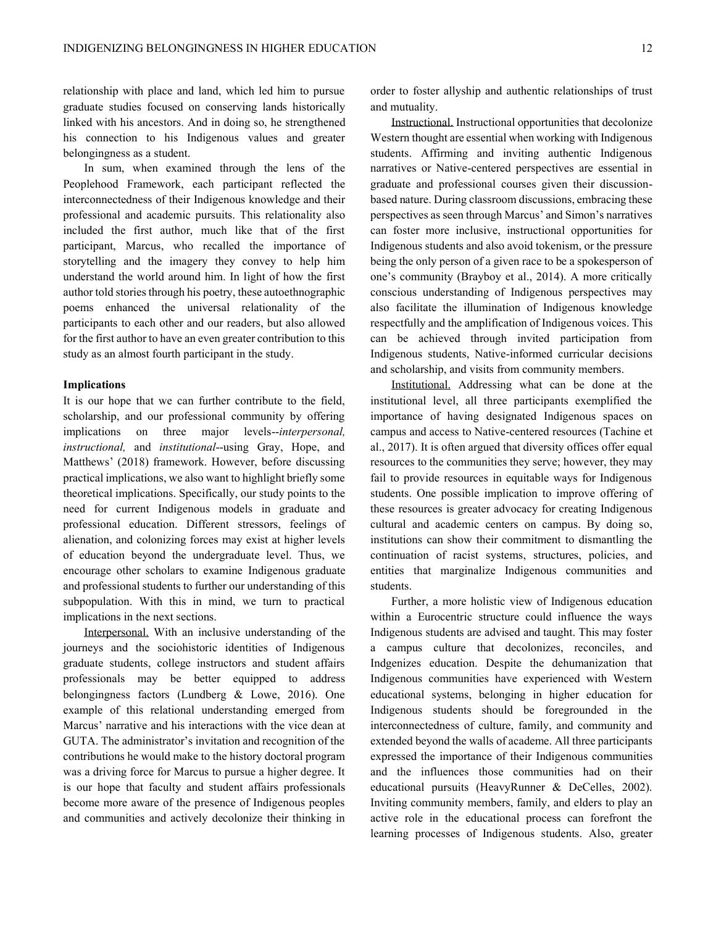relationship with place and land, which led him to pursue graduate studies focused on conserving lands historically linked with his ancestors. And in doing so, he strengthened his connection to his Indigenous values and greater belongingness as a student.

In sum, when examined through the lens of the Peoplehood Framework, each participant reflected the interconnectedness of their Indigenous knowledge and their professional and academic pursuits. This relationality also included the first author, much like that of the first participant, Marcus, who recalled the importance of storytelling and the imagery they convey to help him understand the world around him. In light of how the first author told stories through his poetry, these autoethnographic poems enhanced the universal relationality of the participants to each other and our readers, but also allowed for the first author to have an even greater contribution to this study as an almost fourth participant in the study.

## **Implications**

It is our hope that we can further contribute to the field, scholarship, and our professional community by offering implications on three major levels--*interpersonal, instructional,* and *institutional*--using Gray, Hope, and Matthews' (2018) framework. However, before discussing practical implications, we also want to highlight briefly some theoretical implications. Specifically, our study points to the need for current Indigenous models in graduate and professional education. Different stressors, feelings of alienation, and colonizing forces may exist at higher levels of education beyond the undergraduate level. Thus, we encourage other scholars to examine Indigenous graduate and professional students to further our understanding of this subpopulation. With this in mind, we turn to practical implications in the next sections.

Interpersonal. With an inclusive understanding of the journeys and the sociohistoric identities of Indigenous graduate students, college instructors and student affairs professionals may be better equipped to address belongingness factors (Lundberg & Lowe, 2016). One example of this relational understanding emerged from Marcus' narrative and his interactions with the vice dean at GUTA. The administrator's invitation and recognition of the contributions he would make to the history doctoral program was a driving force for Marcus to pursue a higher degree. It is our hope that faculty and student affairs professionals become more aware of the presence of Indigenous peoples and communities and actively decolonize their thinking in

order to foster allyship and authentic relationships of trust and mutuality.

Instructional. Instructional opportunities that decolonize Western thought are essential when working with Indigenous students. Affirming and inviting authentic Indigenous narratives or Native-centered perspectives are essential in graduate and professional courses given their discussionbased nature. During classroom discussions, embracing these perspectives as seen through Marcus' and Simon's narratives can foster more inclusive, instructional opportunities for Indigenous students and also avoid tokenism, or the pressure being the only person of a given race to be a spokesperson of one's community (Brayboy et al., 2014). A more critically conscious understanding of Indigenous perspectives may also facilitate the illumination of Indigenous knowledge respectfully and the amplification of Indigenous voices. This can be achieved through invited participation from Indigenous students, Native-informed curricular decisions and scholarship, and visits from community members.

Institutional. Addressing what can be done at the institutional level, all three participants exemplified the importance of having designated Indigenous spaces on campus and access to Native-centered resources (Tachine et al., 2017). It is often argued that diversity offices offer equal resources to the communities they serve; however, they may fail to provide resources in equitable ways for Indigenous students. One possible implication to improve offering of these resources is greater advocacy for creating Indigenous cultural and academic centers on campus. By doing so, institutions can show their commitment to dismantling the continuation of racist systems, structures, policies, and entities that marginalize Indigenous communities and students.

Further, a more holistic view of Indigenous education within a Eurocentric structure could influence the ways Indigenous students are advised and taught. This may foster a campus culture that decolonizes, reconciles, and Indgenizes education. Despite the dehumanization that Indigenous communities have experienced with Western educational systems, belonging in higher education for Indigenous students should be foregrounded in the interconnectedness of culture, family, and community and extended beyond the walls of academe. All three participants expressed the importance of their Indigenous communities and the influences those communities had on their educational pursuits (HeavyRunner & DeCelles, 2002). Inviting community members, family, and elders to play an active role in the educational process can forefront the learning processes of Indigenous students. Also, greater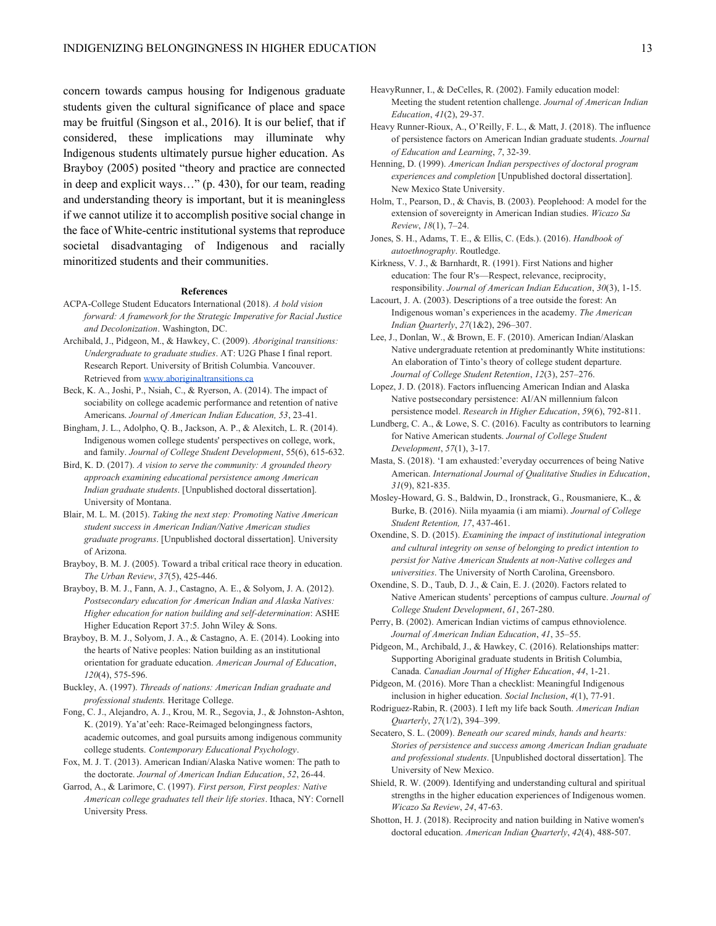concern towards campus housing for Indigenous graduate students given the cultural significance of place and space may be fruitful (Singson et al., 2016). It is our belief, that if considered, these implications may illuminate why Indigenous students ultimately pursue higher education. As Brayboy (2005) posited "theory and practice are connected in deep and explicit ways..." (p. 430), for our team, reading and understanding theory is important, but it is meaningless if we cannot utilize it to accomplish positive social change in the face of White-centric institutional systems that reproduce societal disadvantaging of Indigenous and racially minoritized students and their communities.

#### **References**

ACPA-College Student Educators International (2018). *A bold vision forward: A framework for the Strategic Imperative for Racial Justice and Decolonization*. Washington, DC.

Archibald, J., Pidgeon, M., & Hawkey, C. (2009). *Aboriginal transitions: Undergraduate to graduate studies*. AT: U2G Phase I final report. Research Report. University of British Columbia. Vancouver. Retrieved fro[m www.aboriginaltransitions.ca](http://www.aboriginaltransitions.ca/)

- Beck, K. A., Joshi, P., Nsiah, C., & Ryerson, A. (2014). The impact of sociability on college academic performance and retention of native Americans. *Journal of American Indian Education, 53*, 23-41.
- Bingham, J. L., Adolpho, Q. B., Jackson, A. P., & Alexitch, L. R. (2014). Indigenous women college students' perspectives on college, work, and family. *Journal of College Student Development*, 55(6), 615-632.
- Bird, K. D. (2017). *A vision to serve the community: A grounded theory approach examining educational persistence among American Indian graduate students*. [Unpublished doctoral dissertation]. University of Montana.
- Blair, M. L. M. (2015). *Taking the next step: Promoting Native American student success in American Indian/Native American studies graduate programs*. [Unpublished doctoral dissertation]. University of Arizona.
- Brayboy, B. M. J. (2005). Toward a tribal critical race theory in education. *The Urban Review*, *37*(5), 425-446.
- Brayboy, B. M. J., Fann, A. J., Castagno, A. E., & Solyom, J. A. (2012). *Postsecondary education for American Indian and Alaska Natives: Higher education for nation building and self-determination*: ASHE Higher Education Report 37:5. John Wiley & Sons.
- Brayboy, B. M. J., Solyom, J. A., & Castagno, A. E. (2014). Looking into the hearts of Native peoples: Nation building as an institutional orientation for graduate education. *American Journal of Education*, *120*(4), 575-596.
- Buckley, A. (1997). *Threads of nations: American Indian graduate and professional students.* Heritage College.
- Fong, C. J., Alejandro, A. J., Krou, M. R., Segovia, J., & Johnston-Ashton, K. (2019). Ya'at'eeh: Race-Reimaged belongingness factors, academic outcomes, and goal pursuits among indigenous community college students. *Contemporary Educational Psychology*.
- Fox, M. J. T. (2013). American Indian/Alaska Native women: The path to the doctorate. *Journal of American Indian Education*, *52*, 26-44.
- Garrod, A., & Larimore, C. (1997). *First person, First peoples: Native American college graduates tell their life stories*. Ithaca, NY: Cornell University Press.
- HeavyRunner, I., & DeCelles, R. (2002). Family education model: Meeting the student retention challenge. *Journal of American Indian Education*, *41*(2), 29-37.
- Heavy Runner-Rioux, A., O'Reilly, F. L., & Matt, J. (2018). The influence of persistence factors on American Indian graduate students. *Journal of Education and Learning*, *7*, 32-39.
- Henning, D. (1999). *American Indian perspectives of doctoral program experiences and completion* [Unpublished doctoral dissertation]. New Mexico State University.
- Holm, T., Pearson, D., & Chavis, B. (2003). Peoplehood: A model for the extension of sovereignty in American Indian studies. *Wicazo Sa Review*, 18(1), 7-24.
- Jones, S. H., Adams, T. E., & Ellis, C. (Eds.). (2016). *Handbook of autoethnography*. Routledge.

Kirkness, V. J., & Barnhardt, R. (1991). First Nations and higher education: The four R's—Respect, relevance, reciprocity, responsibility. *Journal of American Indian Education*, *30*(3), 1-15.

Lacourt, J. A. (2003). Descriptions of a tree outside the forest: An Indigenous woman's experiences in the academy. *The American Indian Quarterly*, 27(1&2), 296-307.

- Lee, J., Donlan, W., & Brown, E. F. (2010). American Indian/Alaskan Native undergraduate retention at predominantly White institutions: An elaboration of Tinto's theory of college student departure. *Journal of College Student Retention, 12(3), 257-276.*
- Lopez, J. D. (2018). Factors influencing American Indian and Alaska Native postsecondary persistence: AI/AN millennium falcon persistence model. *Research in Higher Education*, *59*(6), 792-811.
- Lundberg, C. A., & Lowe, S. C. (2016). Faculty as contributors to learning for Native American students. *Journal of College Student Development*, *57*(1), 3-17.
- Masta, S. (2018). 'I am exhausted:'everyday occurrences of being Native American. *International Journal of Qualitative Studies in Education*, *31*(9), 821-835.
- Mosley-Howard, G. S., Baldwin, D., Ironstrack, G., Rousmaniere, K., & Burke, B. (2016). Niila myaamia (i am miami). *Journal of College Student Retention, 17*, 437-461.
- Oxendine, S. D. (2015). *Examining the impact of institutional integration and cultural integrity on sense of belonging to predict intention to persist for Native American Students at non-Native colleges and universities*. The University of North Carolina, Greensboro.
- Oxendine, S. D., Taub, D. J., & Cain, E. J. (2020). Factors related to Native American students' perceptions of campus culture. *Journal of College Student Development*, *61*, 267-280.
- Perry, B. (2002). American Indian victims of campus ethnoviolence. Journal of American Indian Education, 41, 35-55.
- Pidgeon, M., Archibald, J., & Hawkey, C. (2016). Relationships matter: Supporting Aboriginal graduate students in British Columbia, Canada. *Canadian Journal of Higher Education*, *44*, 1-21.
- Pidgeon, M. (2016). More Than a checklist: Meaningful Indigenous inclusion in higher education. *Social Inclusion*, *4*(1), 77-91.
- Rodriguez-Rabin, R. (2003). I left my life back South. *American Indian Quarterly*, 27(1/2), 394-399.
- Secatero, S. L. (2009). *Beneath our scared minds, hands and hearts: Stories of persistence and success among American Indian graduate and professional students*. [Unpublished doctoral dissertation]. The University of New Mexico.
- Shield, R. W. (2009). Identifying and understanding cultural and spiritual strengths in the higher education experiences of Indigenous women. *Wicazo Sa Review*, *24*, 47-63.
- Shotton, H. J. (2018). Reciprocity and nation building in Native women's doctoral education. *American Indian Quarterly*, *42*(4), 488-507.